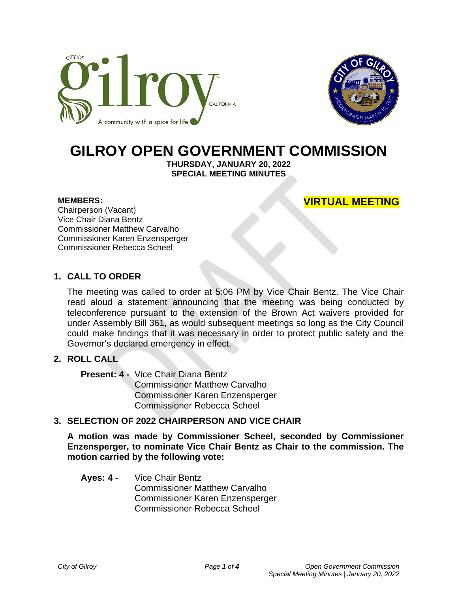



# **GILROY OPEN GOVERNMENT COMMISSION**

**THURSDAY, JANUARY 20, 2022 SPECIAL MEETING MINUTES**

#### **MEMBERS:**

**VIRTUAL MEETING**

Chairperson (Vacant) Vice Chair Diana Bentz Commissioner Matthew Carvalho Commissioner Karen Enzensperger Commissioner Rebecca Scheel

## **1. CALL TO ORDER**

The meeting was called to order at 5:06 PM by Vice Chair Bentz. The Vice Chair read aloud a statement announcing that the meeting was being conducted by teleconference pursuant to the extension of the Brown Act waivers provided for under Assembly Bill 361, as would subsequent meetings so long as the City Council could make findings that it was necessary in order to protect public safety and the Governor's declared emergency in effect.

# **2. ROLL CALL**

**Present: 4 -** Vice Chair Diana Bentz Commissioner Matthew Carvalho Commissioner Karen Enzensperger Commissioner Rebecca Scheel

## **3. SELECTION OF 2022 CHAIRPERSON AND VICE CHAIR**

**A motion was made by Commissioner Scheel, seconded by Commissioner Enzensperger, to nominate Vice Chair Bentz as Chair to the commission. The motion carried by the following vote:**

#### **Ayes: 4** - Vice Chair Bentz Commissioner Matthew Carvalho Commissioner Karen Enzensperger Commissioner Rebecca Scheel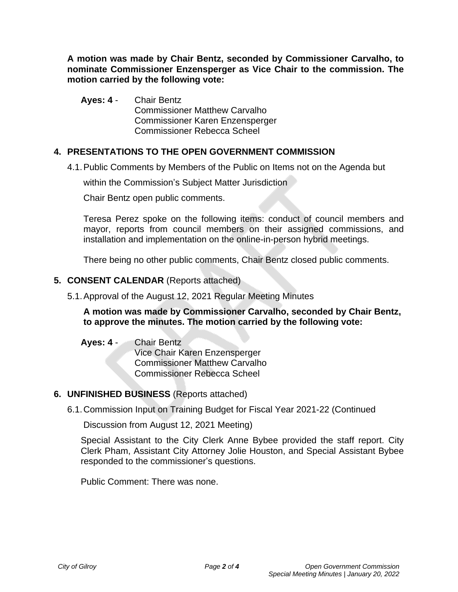**A motion was made by Chair Bentz, seconded by Commissioner Carvalho, to nominate Commissioner Enzensperger as Vice Chair to the commission. The motion carried by the following vote:**

**Ayes: 4** - Chair Bentz Commissioner Matthew Carvalho Commissioner Karen Enzensperger Commissioner Rebecca Scheel

# **4. PRESENTATIONS TO THE OPEN GOVERNMENT COMMISSION**

4.1.Public Comments by Members of the Public on Items not on the Agenda but

within the Commission's Subject Matter Jurisdiction

Chair Bentz open public comments.

Teresa Perez spoke on the following items: conduct of council members and mayor, reports from council members on their assigned commissions, and installation and implementation on the online-in-person hybrid meetings.

There being no other public comments, Chair Bentz closed public comments.

## **5. CONSENT CALENDAR** (Reports attached)

5.1.Approval of the August 12, 2021 Regular Meeting Minutes

**A motion was made by Commissioner Carvalho, seconded by Chair Bentz, to approve the minutes. The motion carried by the following vote:**

**Ayes: 4** - Chair Bentz Vice Chair Karen Enzensperger Commissioner Matthew Carvalho Commissioner Rebecca Scheel

# **6. UNFINISHED BUSINESS** (Reports attached)

6.1.Commission Input on Training Budget for Fiscal Year 2021-22 (Continued

Discussion from August 12, 2021 Meeting)

Special Assistant to the City Clerk Anne Bybee provided the staff report. City Clerk Pham, Assistant City Attorney Jolie Houston, and Special Assistant Bybee responded to the commissioner's questions.

Public Comment: There was none.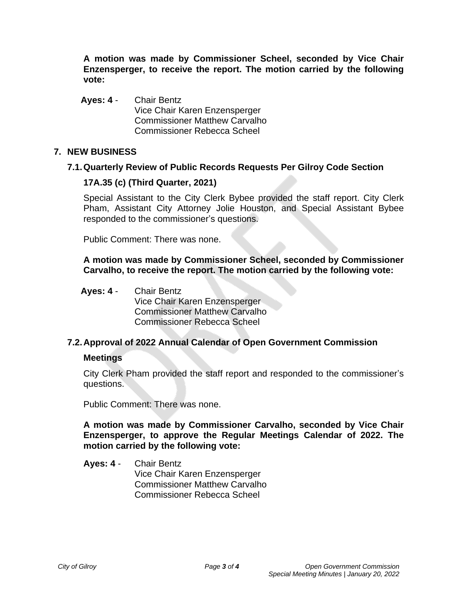**A motion was made by Commissioner Scheel, seconded by Vice Chair Enzensperger, to receive the report. The motion carried by the following vote:**

**Ayes: 4** - Chair Bentz Vice Chair Karen Enzensperger Commissioner Matthew Carvalho Commissioner Rebecca Scheel

## **7. NEW BUSINESS**

#### **7.1.Quarterly Review of Public Records Requests Per Gilroy Code Section**

#### **17A.35 (c) (Third Quarter, 2021)**

Special Assistant to the City Clerk Bybee provided the staff report. City Clerk Pham, Assistant City Attorney Jolie Houston, and Special Assistant Bybee responded to the commissioner's questions.

Public Comment: There was none.

**A motion was made by Commissioner Scheel, seconded by Commissioner Carvalho, to receive the report. The motion carried by the following vote:**

**Ayes: 4** - Chair Bentz

Vice Chair Karen Enzensperger Commissioner Matthew Carvalho Commissioner Rebecca Scheel

## **7.2.Approval of 2022 Annual Calendar of Open Government Commission**

#### **Meetings**

City Clerk Pham provided the staff report and responded to the commissioner's questions.

Public Comment: There was none.

**A motion was made by Commissioner Carvalho, seconded by Vice Chair Enzensperger, to approve the Regular Meetings Calendar of 2022. The motion carried by the following vote:**

**Ayes: 4** - Chair Bentz Vice Chair Karen Enzensperger Commissioner Matthew Carvalho Commissioner Rebecca Scheel